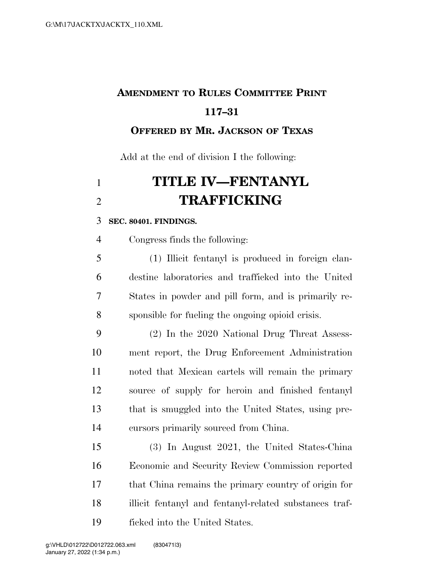## **AMENDMENT TO RULES COMMITTEE PRINT 117–31**

**OFFERED BY MR. JACKSON OF TEXAS**

Add at the end of division I the following:

## **TITLE IV—FENTANYL TRAFFICKING**

## **SEC. 80401. FINDINGS.**

Congress finds the following:

 (1) Illicit fentanyl is produced in foreign clan- destine laboratories and trafficked into the United States in powder and pill form, and is primarily re-sponsible for fueling the ongoing opioid crisis.

 (2) In the 2020 National Drug Threat Assess- ment report, the Drug Enforcement Administration noted that Mexican cartels will remain the primary source of supply for heroin and finished fentanyl that is smuggled into the United States, using pre-cursors primarily sourced from China.

 (3) In August 2021, the United States-China Economic and Security Review Commission reported that China remains the primary country of origin for illicit fentanyl and fentanyl-related substances traf-ficked into the United States.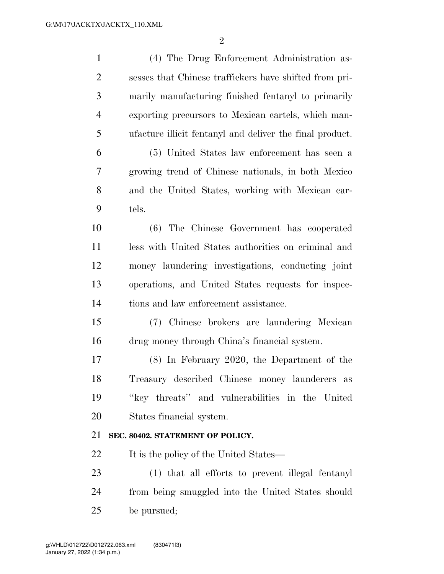| $\mathbf{1}$   | (4) The Drug Enforcement Administration as-              |
|----------------|----------------------------------------------------------|
| $\overline{2}$ | sesses that Chinese traffickers have shifted from pri-   |
| 3              | marily manufacturing finished fentanyl to primarily      |
| $\overline{4}$ | exporting precursors to Mexican cartels, which man-      |
| 5              | ufacture illicit fentanyl and deliver the final product. |
| 6              | (5) United States law enforcement has seen a             |
| 7              | growing trend of Chinese nationals, in both Mexico       |
| 8              | and the United States, working with Mexican car-         |
| 9              | tels.                                                    |
| 10             | (6) The Chinese Government has cooperated                |
| 11             | less with United States authorities on criminal and      |
| 12             | money laundering investigations, conducting joint        |
| 13             | operations, and United States requests for inspec-       |
| 14             | tions and law enforcement assistance.                    |
| 15             | (7) Chinese brokers are laundering Mexican               |
| 16             | drug money through China's financial system.             |
| 17             | $(8)$ In February 2020, the Department of the            |
| 18             | Treasury described Chinese money launderers as           |
| 19             | "key threats" and vulnerabilities in the United          |
| 20             | States financial system.                                 |
|                |                                                          |
| 21             | SEC. 80402. STATEMENT OF POLICY.                         |
| 22             | It is the policy of the United States—                   |
| 23             | (1) that all efforts to prevent illegal fentanyl         |
| 24             | from being smuggled into the United States should        |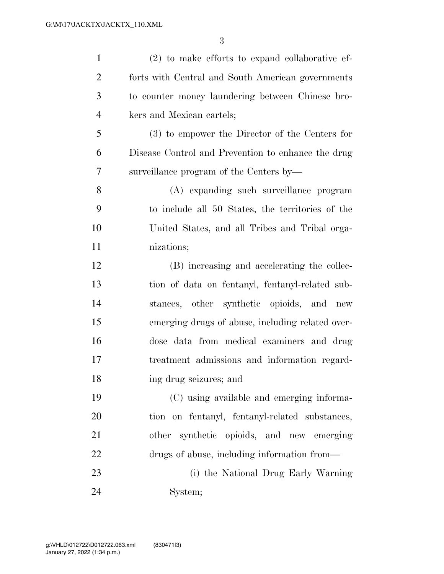| $\mathbf{1}$   | $(2)$ to make efforts to expand collaborative ef-  |
|----------------|----------------------------------------------------|
| 2              | forts with Central and South American governments  |
| 3              | to counter money laundering between Chinese bro-   |
| $\overline{4}$ | kers and Mexican cartels;                          |
| 5              | (3) to empower the Director of the Centers for     |
| 6              | Disease Control and Prevention to enhance the drug |
| 7              | surveillance program of the Centers by-            |
| 8              | (A) expanding such surveillance program            |
| 9              | to include all 50 States, the territories of the   |
| 10             | United States, and all Tribes and Tribal orga-     |
| 11             | nizations;                                         |
| 12             | (B) increasing and accelerating the collec-        |
| 13             | tion of data on fentanyl, fentanyl-related sub-    |
| 14             | stances, other synthetic opioids, and new          |
| 15             | emerging drugs of abuse, including related over-   |
| 16             | dose data from medical examiners and drug          |
| 17             | treatment admissions and information regard-       |
| 18             | ing drug seizures; and                             |
| 19             | (C) using available and emerging informa-          |
| 20             | tion on fentanyl, fentanyl-related substances,     |
| 21             | other synthetic opioids, and new emerging          |
| 22             | drugs of abuse, including information from—        |
| 23             | (i) the National Drug Early Warning                |
| 24             | System;                                            |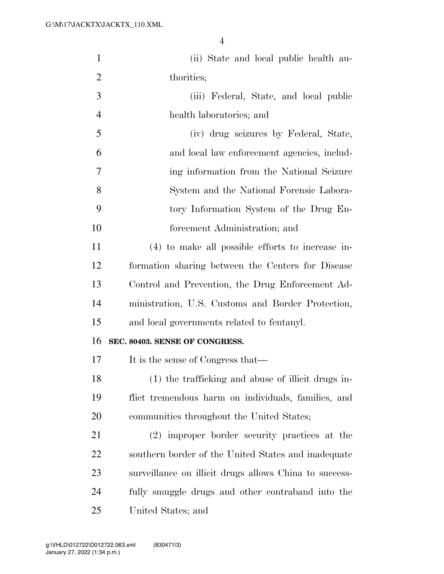| $\mathbf{1}$   | (ii) State and local public health au-                 |
|----------------|--------------------------------------------------------|
| $\overline{2}$ | thorities;                                             |
| 3              | (iii) Federal, State, and local public                 |
| $\overline{4}$ | health laboratories; and                               |
| 5              | (iv) drug seizures by Federal, State,                  |
| 6              | and local law enforcement agencies, includ-            |
| 7              | ing information from the National Seizure              |
| 8              | System and the National Forensic Labora-               |
| 9              | tory Information System of the Drug En-                |
| 10             | forcement Administration; and                          |
| 11             | (4) to make all possible efforts to increase in-       |
| 12             | formation sharing between the Centers for Disease      |
| 13             | Control and Prevention, the Drug Enforcement Ad-       |
| 14             | ministration, U.S. Customs and Border Protection,      |
| 15             | and local governments related to fentanyl.             |
| 16             | SEC. 80403. SENSE OF CONGRESS.                         |
| 17             | It is the sense of Congress that—                      |
| 18             | (1) the trafficking and abuse of illicit drugs in-     |
| 19             | flict tremendous harm on individuals, families, and    |
| 20             | communities throughout the United States;              |
| 21             | (2) improper border security practices at the          |
| 22             | southern border of the United States and inadequate    |
| 23             | surveillance on illicit drugs allows China to success- |
| 24             | fully smuggle drugs and other contraband into the      |
| 25             | United States; and                                     |